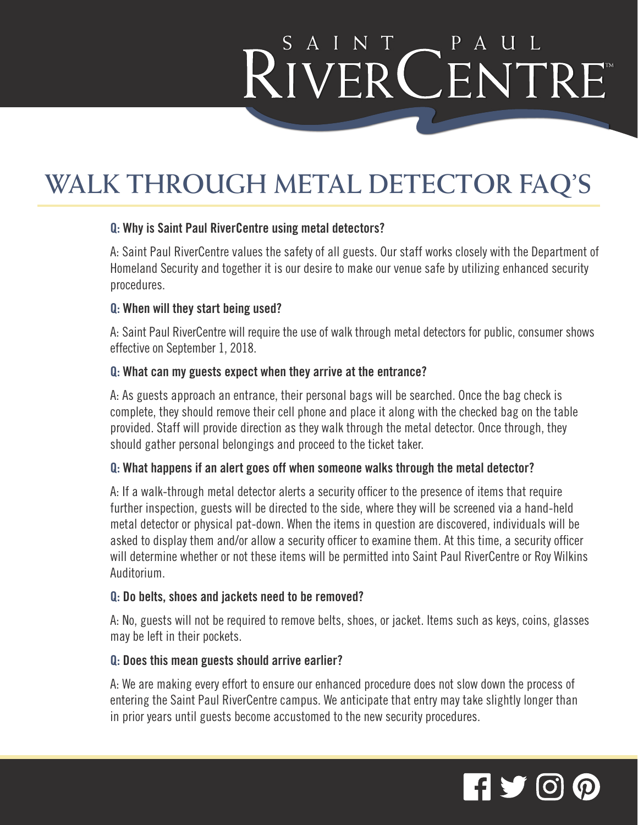# RIVERCENTRE

### **WALK THROUGH METAL DETECTOR FAQ'S**

#### **Q: Why is Saint Paul RiverCentre using metal detectors?**

A: Saint Paul RiverCentre values the safety of all guests. Our staff works closely with the Department of Homeland Security and together it is our desire to make our venue safe by utilizing enhanced security procedures.

#### **Q: When will they start being used?**

A: Saint Paul RiverCentre will require the use of walk through metal detectors for public, consumer shows effective on September 1, 2018.

#### **Q: What can my guests expect when they arrive at the entrance?**

A: As guests approach an entrance, their personal bags will be searched. Once the bag check is complete, they should remove their cell phone and place it along with the checked bag on the table provided. Staff will provide direction as they walk through the metal detector. Once through, they should gather personal belongings and proceed to the ticket taker.

#### **Q: What happens if an alert goes off when someone walks through the metal detector?**

A: If a walk-through metal detector alerts a security officer to the presence of items that require further inspection, guests will be directed to the side, where they will be screened via a hand-held metal detector or physical pat-down. When the items in question are discovered, individuals will be asked to display them and/or allow a security officer to examine them. At this time, a security officer will determine whether or not these items will be permitted into Saint Paul RiverCentre or Roy Wilkins Auditorium.

#### **Q: Do belts, shoes and jackets need to be removed?**

A: No, guests will not be required to remove belts, shoes, or jacket. Items such as keys, coins, glasses may be left in their pockets.

#### **Q: Does this mean guests should arrive earlier?**

A: We are making every effort to ensure our enhanced procedure does not slow down the process of entering the Saint Paul RiverCentre campus. We anticipate that entry may take slightly longer than in prior years until guests become accustomed to the new security procedures.

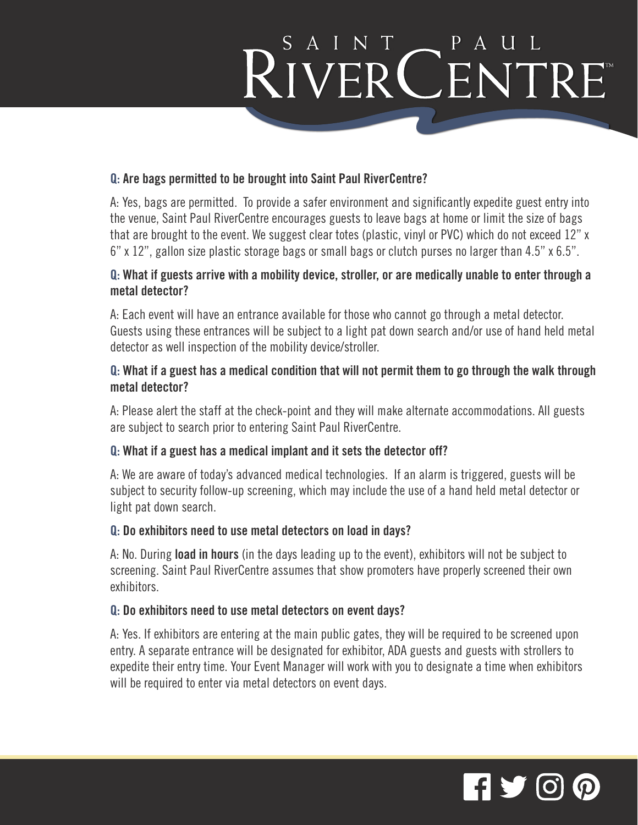# RIVERCENTRE

#### **Q: Are bags permitted to be brought into Saint Paul RiverCentre?**

A: Yes, bags are permitted. To provide a safer environment and significantly expedite guest entry into the venue, Saint Paul RiverCentre encourages guests to leave bags at home or limit the size of bags that are brought to the event. We suggest clear totes (plastic, vinyl or PVC) which do not exceed 12" x 6" x 12", gallon size plastic storage bags or small bags or clutch purses no larger than 4.5" x 6.5".

#### **Q: What if guests arrive with a mobility device, stroller, or are medically unable to enter through a metal detector?**

A: Each event will have an entrance available for those who cannot go through a metal detector. Guests using these entrances will be subject to a light pat down search and/or use of hand held metal detector as well inspection of the mobility device/stroller.

#### **Q: What if a guest has a medical condition that will not permit them to go through the walk through metal detector?**

A: Please alert the staff at the check-point and they will make alternate accommodations. All guests are subject to search prior to entering Saint Paul RiverCentre.

#### **Q: What if a guest has a medical implant and it sets the detector off?**

A: We are aware of today's advanced medical technologies. If an alarm is triggered, guests will be subject to security follow-up screening, which may include the use of a hand held metal detector or light pat down search.

#### **Q: Do exhibitors need to use metal detectors on load in days?**

A: No. During **load in hours** (in the days leading up to the event), exhibitors will not be subject to screening. Saint Paul RiverCentre assumes that show promoters have properly screened their own exhibitors.

#### **Q: Do exhibitors need to use metal detectors on event days?**

A: Yes. If exhibitors are entering at the main public gates, they will be required to be screened upon entry. A separate entrance will be designated for exhibitor, ADA guests and guests with strollers to expedite their entry time. Your Event Manager will work with you to designate a time when exhibitors will be required to enter via metal detectors on event days.